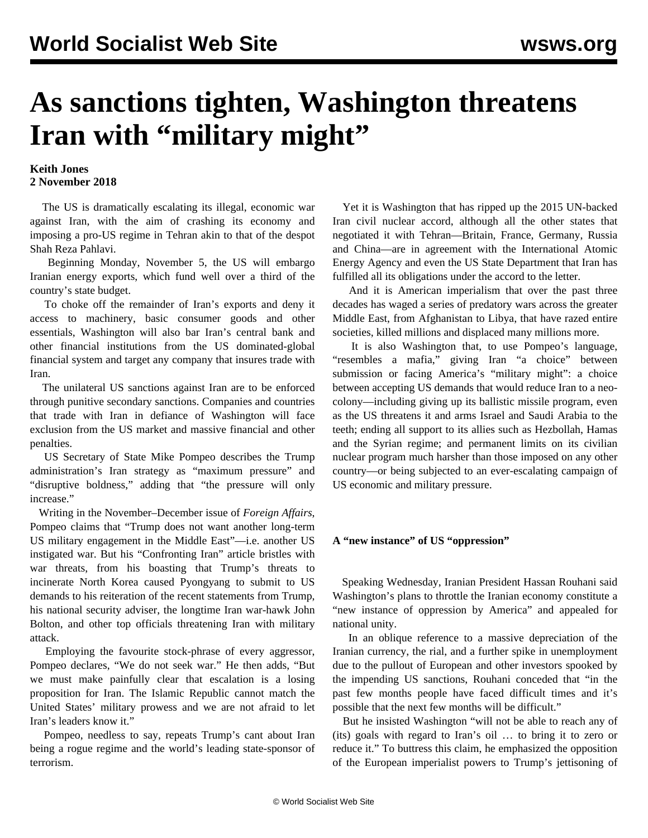## **As sanctions tighten, Washington threatens** Iran with "military might"

## **Keith Jones 2 November 2018**

 The US is dramatically escalating its illegal, economic war against Iran, with the aim of crashing its economy and imposing a pro-US regime in Tehran akin to that of the despot Shah Reza Pahlavi.

 Beginning Monday, November 5, the US will embargo Iranian energy exports, which fund well over a third of the country's state budget.

 To choke off the remainder of Iran's exports and deny it access to machinery, basic consumer goods and other essentials, Washington will also bar Iran's central bank and other financial institutions from the US dominated-global financial system and target any company that insures trade with Iran.

 The unilateral US sanctions against Iran are to be enforced through punitive secondary sanctions. Companies and countries that trade with Iran in defiance of Washington will face exclusion from the US market and massive financial and other penalties.

 US Secretary of State Mike Pompeo describes the Trump administration's Iran strategy as "maximum pressure" and "disruptive boldness," adding that "the pressure will only increase."

 Writing in the November–December issue of *Foreign Affairs*, Pompeo claims that "Trump does not want another long-term US military engagement in the Middle East"—i.e. another US instigated war. But his "Confronting Iran" article bristles with war threats, from his boasting that Trump's threats to incinerate North Korea caused Pyongyang to submit to US demands to his reiteration of the recent statements from Trump, his national security adviser, the longtime Iran war-hawk John Bolton, and other top officials threatening Iran with military attack.

 Employing the favourite stock-phrase of every aggressor, Pompeo declares, "We do not seek war." He then adds, "But we must make painfully clear that escalation is a losing proposition for Iran. The Islamic Republic cannot match the United States' military prowess and we are not afraid to let Iran's leaders know it."

 Pompeo, needless to say, repeats Trump's cant about Iran being a rogue regime and the world's leading state-sponsor of terrorism.

 Yet it is Washington that has ripped up the 2015 UN-backed Iran civil nuclear accord, although all the other states that negotiated it with Tehran—Britain, France, Germany, Russia and China—are in agreement with the International Atomic Energy Agency and even the US State Department that Iran has fulfilled all its obligations under the accord to the letter.

 And it is American imperialism that over the past three decades has waged a series of predatory wars across the greater Middle East, from Afghanistan to Libya, that have razed entire societies, killed millions and displaced many millions more.

 It is also Washington that, to use Pompeo's language, "resembles a mafia," giving Iran "a choice" between submission or facing America's "military might": a choice between accepting US demands that would reduce Iran to a neocolony—including giving up its ballistic missile program, even as the US threatens it and arms Israel and Saudi Arabia to the teeth; ending all support to its allies such as Hezbollah, Hamas and the Syrian regime; and permanent limits on its civilian nuclear program much harsher than those imposed on any other country—or being subjected to an ever-escalating campaign of US economic and military pressure.

## **A "new instance" of US "oppression"**

 Speaking Wednesday, Iranian President Hassan Rouhani said Washington's plans to throttle the Iranian economy constitute a "new instance of oppression by America" and appealed for national unity.

 In an oblique reference to a massive depreciation of the Iranian currency, the rial, and a further spike in unemployment due to the pullout of European and other investors spooked by the impending US sanctions, Rouhani conceded that "in the past few months people have faced difficult times and it's possible that the next few months will be difficult."

 But he insisted Washington "will not be able to reach any of (its) goals with regard to Iran's oil … to bring it to zero or reduce it." To buttress this claim, he emphasized the opposition of the European imperialist powers to Trump's jettisoning of